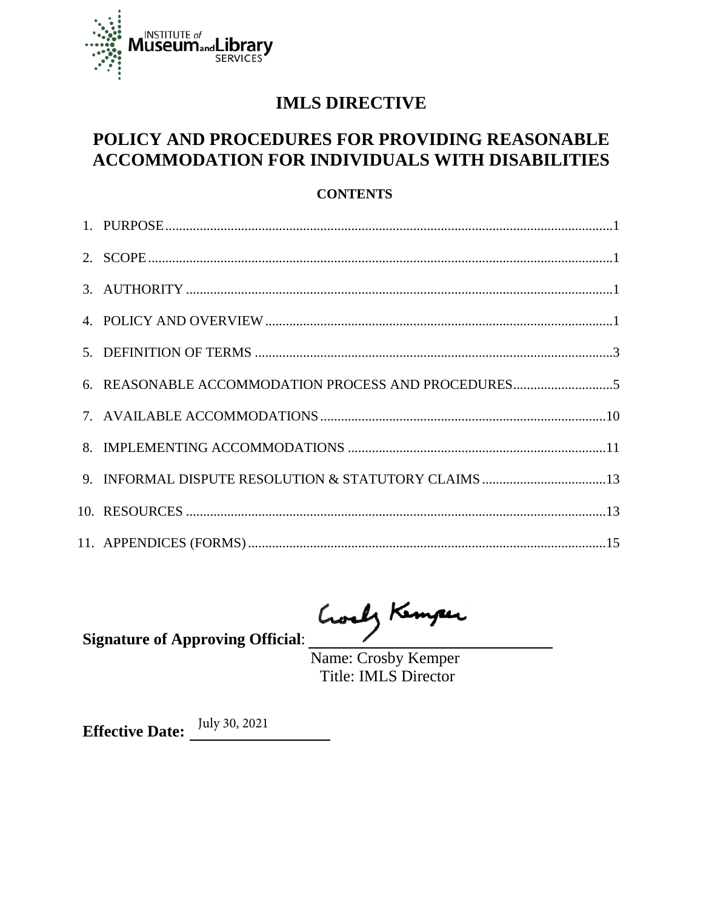

## **IMLS DIRECTIVE**

## POLICY AND PROCEDURES FOR PROVIDING REASONABLE ACCOMMODATION FOR INDIVIDUALS WITH DISABILITIES

### **CONTENTS**

| 6. REASONABLE ACCOMMODATION PROCESS AND PROCEDURES5 |
|-----------------------------------------------------|
|                                                     |
|                                                     |
|                                                     |
|                                                     |
|                                                     |

Goody Kemper

**Signature of Approving Official:** 

Name: Crosby Kemper Title: IMLS Director

**Effective Date:**  $\frac{July\ 30, 2021}{ }$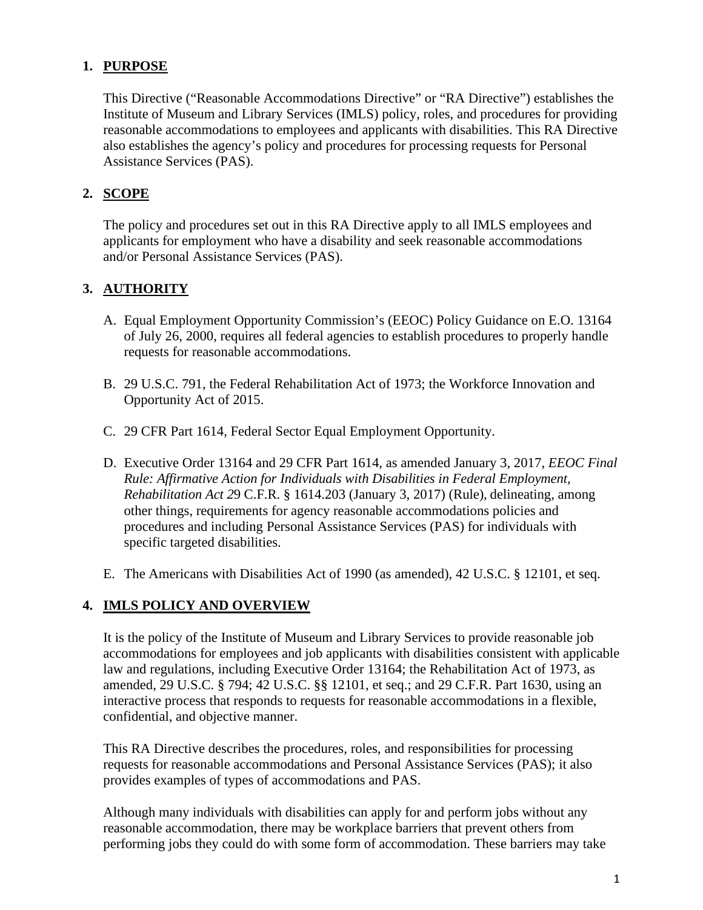## **1. PURPOSE**

 This Directive ("Reasonable Accommodations Directive" or "RA Directive") establishes the reasonable accommodations to employees and applicants with disabilities. This RA Directive Institute of Museum and Library Services (IMLS) policy, roles, and procedures for providing also establishes the agency's policy and procedures for processing requests for Personal Assistance Services (PAS).

## **2. SCOPE**

The policy and procedures set out in this RA Directive apply to all IMLS employees and applicants for employment who have a disability and seek reasonable accommodations and/or Personal Assistance Services (PAS).

## 3. **AUTHORITY**

- A. Equal Employment Opportunity Commission's (EEOC) Policy Guidance on E.O. 13164 of July 26, 2000, requires all federal agencies to establish procedures to properly handle requests for reasonable accommodations.
- B. 29 U.S.C. 791, the Federal Rehabilitation Act of 1973; the Workforce Innovation and Opportunity Act of 2015.
- C. 29 CFR Part 1614, Federal Sector Equal Employment Opportunity.
- D. Executive Order 13164 and 29 CFR Part 1614, as amended January 3, 2017, *EEOC Final Rule: Affirmative Action for Individuals with Disabilities in Federal Employment,*  other things, requirements for agency reasonable accommodations policies and *Rehabilitation Act 2*9 C.F.R. § 1614.203 (January 3, 2017) (Rule), delineating, among procedures and including Personal Assistance Services (PAS) for individuals with specific targeted disabilities.
- E. The Americans with Disabilities Act of 1990 (as amended), 42 U.S.C. § 12101, et seq.

## **4. IMLS POLICY AND OVERVIEW**

It is the policy of the Institute of Museum and Library Services to provide reasonable job accommodations for employees and job applicants with disabilities consistent with applicable law and regulations, including Executive Order 13164; the Rehabilitation Act of 1973, as amended, 29 U.S.C. § 794; 42 U.S.C. §§ 12101, et seq.; and 29 C.F.R. Part 1630, using an interactive process that responds to requests for reasonable accommodations in a flexible, confidential, and objective manner.

This RA Directive describes the procedures, roles, and responsibilities for processing requests for reasonable accommodations and Personal Assistance Services (PAS); it also provides examples of types of accommodations and PAS.

Although many individuals with disabilities can apply for and perform jobs without any reasonable accommodation, there may be workplace barriers that prevent others from performing jobs they could do with some form of accommodation. These barriers may take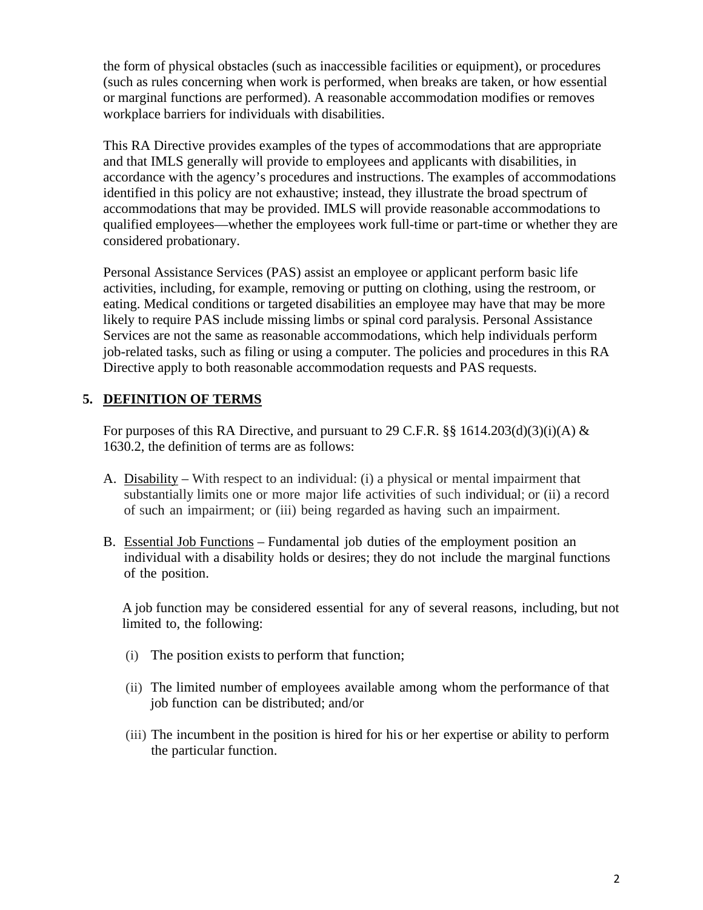the form of physical obstacles (such as inaccessible facilities or equipment), or procedures (such as rules concerning when work is performed, when breaks are taken, or how essential or marginal functions are performed). A reasonable accommodation modifies or removes workplace barriers for individuals with disabilities.

 This RA Directive provides examples of the types of accommodations that are appropriate accordance with the agency's procedures and instructions. The examples of accommodations accommodations that may be provided. IMLS will provide reasonable accommodations to qualified employees—whether the employees work full-time or part-time or whether they are and that IMLS generally will provide to employees and applicants with disabilities, in identified in this policy are not exhaustive; instead, they illustrate the broad spectrum of considered probationary.

 eating. Medical conditions or targeted disabilities an employee may have that may be more job-related tasks, such as filing or using a computer. The policies and procedures in this RA Directive apply to both reasonable accommodation requests and PAS requests. Personal Assistance Services (PAS) assist an employee or applicant perform basic life activities, including, for example, removing or putting on clothing, using the restroom, or likely to require PAS include missing limbs or spinal cord paralysis. Personal Assistance Services are not the same as reasonable accommodations, which help individuals perform

## **5. DEFINITION OF TERMS**

For purposes of this RA Directive, and pursuant to 29 C.F.R.  $\S$ § 1614.203(d)(3)(i)(A) & 1630.2, the definition of terms are as follows:

- A. Disability With respect to an individual: (i) a physical or mental impairment that substantially limits one or more major life activities of such individual; or (ii) a record of such an impairment; or (iii) being regarded as having such an impairment.
- B. Essential Job Functions Fundamental job duties of the employment position an individual with a disability holds or desires; they do not include the marginal functions of the position.

 A job function may be considered essential for any of several reasons, including, but not limited to, the following:

- (i) The position exists to perform that function;
- (ii) The limited number of employees available among whom the performance of that job function can be distributed; and/or
- (iii) The incumbent in the position is hired for his or her expertise or ability to perform the particular function.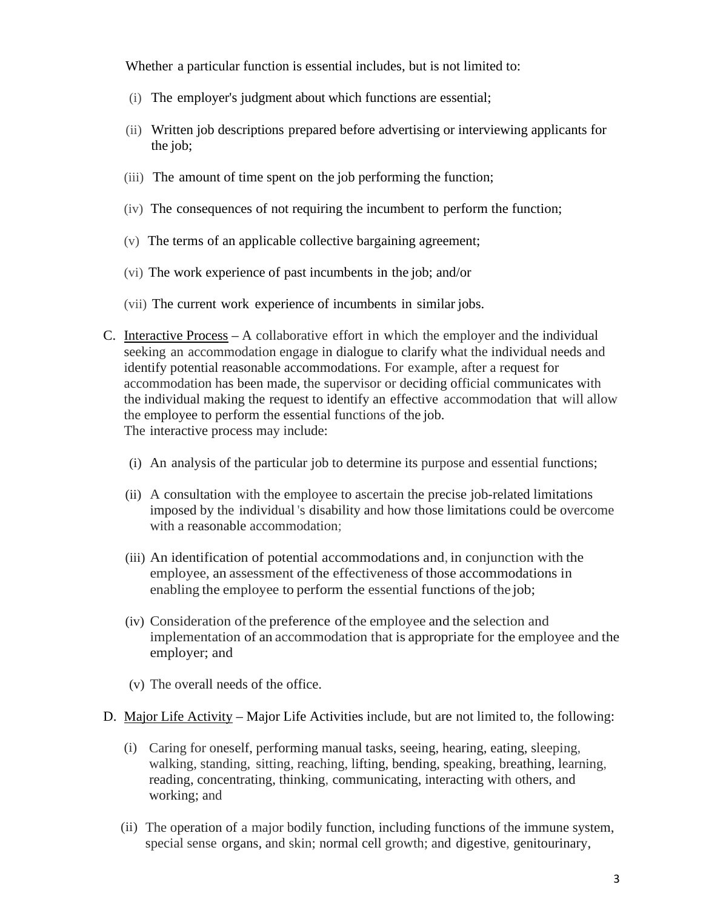Whether a particular function is essential includes, but is not limited to:

- (i) The employer's judgment about which functions are essential;
- the job; (ii) Written job descriptions prepared before advertising or interviewing applicants for
- (iii) The amount of time spent on the job performing the function;
- (iv) The consequences of not requiring the incumbent to perform the function;
- (v) The terms of an applicable collective bargaining agreement;
- (v) The terms of an applicable collective bargaining agreement; (vi) The work experience of past incumbents in the job; and/or
- (vii) The current work experience of incumbents in similar jobs.
- C. Interactive Process A collaborative effort in which the employer and the individual seeking an accommodation engage in dialogue to clarify what the individual needs and the individual making the request to identify an effective accommodation that will allow identify potential reasonable accommodations. For example, after a request for accommodation has been made, the supervisor or deciding official communicates with the employee to perform the essential functions of the job. The interactive process may include:
	- (i) An analysis of the particular job to determine its purpose and essential functions;
	- (ii) A consultation with the employee to ascertain the precise job-related limitations imposed by the individual 's disability and how those limitations could be overcome with a reasonable accommodation;
	- (iii) An identification of potential accommodations and, in conjunction with the employee, an assessment of the effectiveness of those accommodations in enabling the employee to perform the essential functions of the job;
	- (iv) Consideration of the preference of the employee and the selection and implementation of an accommodation that is appropriate for the employee and the employer; and
	- (v) The overall needs of the office.
- D. Major Life Activity Major Life Activities include, but are not limited to, the following:
	- (i) Caring for oneself, performing manual tasks, seeing, hearing, eating, sleeping, walking, standing, sitting, reaching, lifting, bending, speaking, breathing, learning, reading, concentrating, thinking, communicating, interacting with others, and working; and
	- special sense organs, and skin; normal cell growth; and digestive, genitourinary, (ii) The operation of a major bodily function, including functions of the immune system,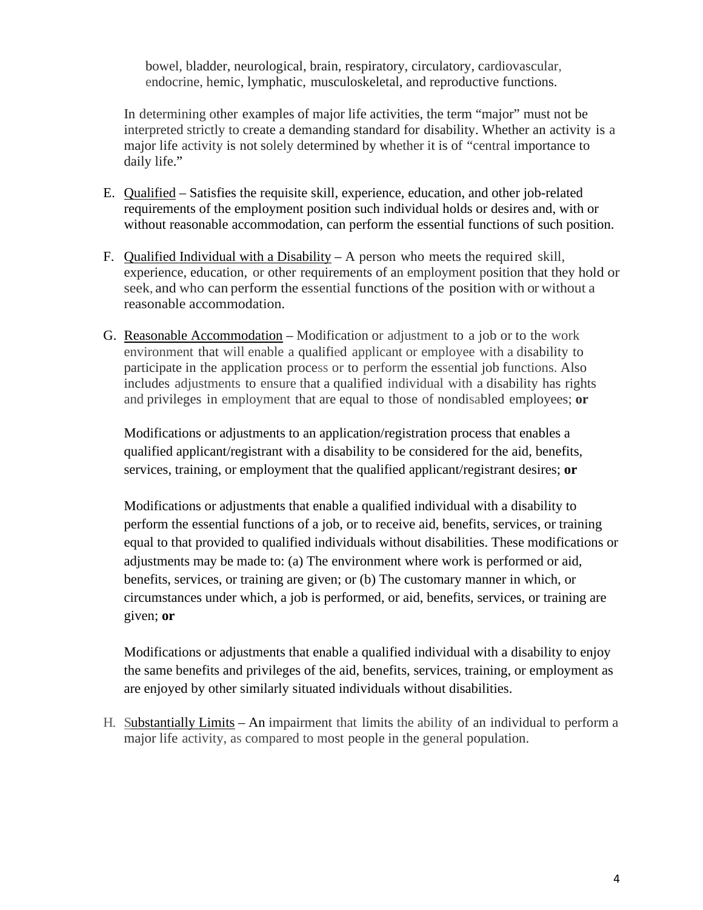bowel, bladder, neurological, brain, respiratory, circulatory, cardiovascular, endocrine, hemic, lymphatic, musculoskeletal, and reproductive functions.

 interpreted strictly to create a demanding standard for disability. Whether an activity is a In determining other examples of major life activities, the term "major" must not be major life activity is not solely determined by whether it is of "central importance to daily life."

- E. Qualified Satisfies the requisite skill, experience, education, and other job-related requirements of the employment position such individual holds or desires and, with or without reasonable accommodation, can perform the essential functions of such position.
- F. Qualified Individual with a Disability A person who meets the required skill, experience, education, or other requirements of an employment position that they hold or seek, and who can perform the essential functions of the position with or without a reasonable accommodation.
- G. Reasonable Accommodation Modification or adjustment to a job or to the work environment that will enable a qualified applicant or employee with a disability to participate in the application process or to perform the essential job functions. Also includes adjustments to ensure that a qualified individual with a disability has rights and privileges in employment that are equal to those of nondisabled employees; **or**

Modifications or adjustments to an application/registration process that enables a qualified applicant/registrant with a disability to be considered for the aid, benefits, services, training, or employment that the qualified applicant/registrant desires; **or** 

 adjustments may be made to: (a) The environment where work is performed or aid, benefits, services, or training are given; or (b) The customary manner in which, or given; **or**  Modifications or adjustments that enable a qualified individual with a disability to perform the essential functions of a job, or to receive aid, benefits, services, or training equal to that provided to qualified individuals without disabilities. These modifications or circumstances under which, a job is performed, or aid, benefits, services, or training are

Modifications or adjustments that enable a qualified individual with a disability to enjoy the same benefits and privileges of the aid, benefits, services, training, or employment as are enjoyed by other similarly situated individuals without disabilities.

H. Substantially Limits – An impairment that limits the ability of an individual to perform a major life activity, as compared to most people in the general population.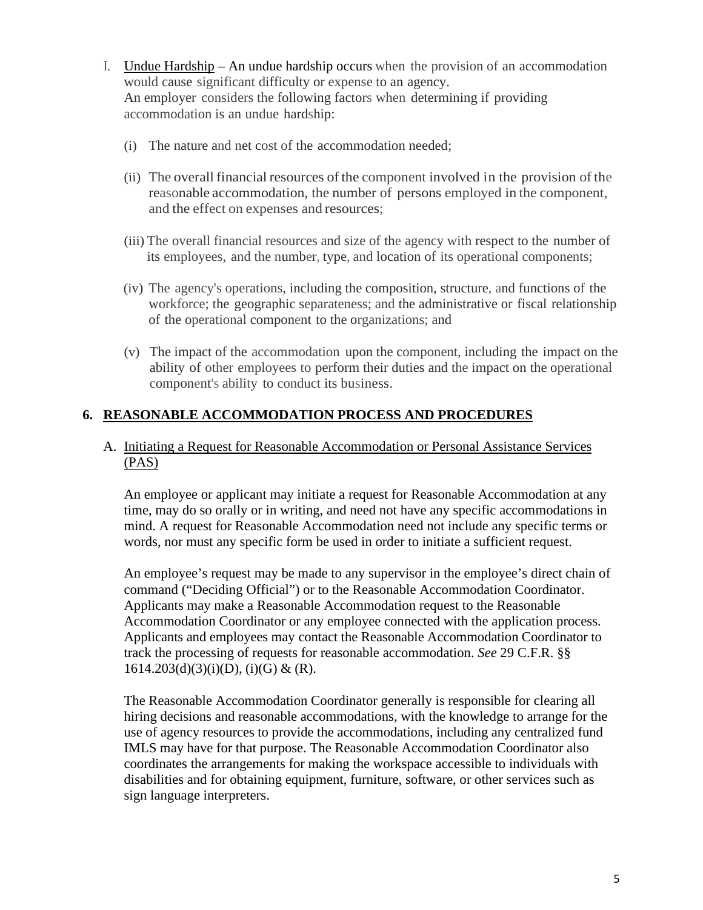- I. Undue Hardship An undue hardship occurs when the provision of an accommodation accommodation is an undue hardship: would cause significant difficulty or expense to an agency. An employer considers the following factors when determining if providing
	- (i) The nature and net cost of the accommodation needed;
	- (ii) The overall financial resources of the component involved in the provision of the reasonable accommodation, the number of persons employed in the component, and the effect on expenses and resources;
	- (iii) The overall financial resources and size of the agency with respect to the number of its employees, and the number, type, and location of its operational components;
	- (iv) The agency's operations, including the composition, structure, and functions of the workforce; the geographic separateness; and the administrative or fiscal relationship of the operational component to the organizations; and
	- (v) The impact of the accommodation upon the component, including the impact on the ability of other employees to perform their duties and the impact on the operational component's ability to conduct its business.

### **6. REASONABLE ACCOMMODATION PROCESS AND PROCEDURES**

#### A. Initiating a Request for Reasonable Accommodation or Personal Assistance Services (PAS)

 time, may do so orally or in writing, and need not have any specific accommodations in mind. A request for Reasonable Accommodation need not include any specific terms or words, nor must any specific form be used in order to initiate a sufficient request. An employee or applicant may initiate a request for Reasonable Accommodation at any

 An employee's request may be made to any supervisor in the employee's direct chain of command ("Deciding Official") or to the Reasonable Accommodation Coordinator. Accommodation Coordinator or any employee connected with the application process. Applicants and employees may contact the Reasonable Accommodation Coordinator to track the processing of requests for reasonable accommodation. *See* 29 C.F.R. §§  $1614.203(d)(3)(i)(D), (i)(G) & (R).$ Applicants may make a Reasonable Accommodation request to the Reasonable

 The Reasonable Accommodation Coordinator generally is responsible for clearing all use of agency resources to provide the accommodations, including any centralized fund IMLS may have for that purpose. The Reasonable Accommodation Coordinator also hiring decisions and reasonable accommodations, with the knowledge to arrange for the coordinates the arrangements for making the workspace accessible to individuals with disabilities and for obtaining equipment, furniture, software, or other services such as sign language interpreters.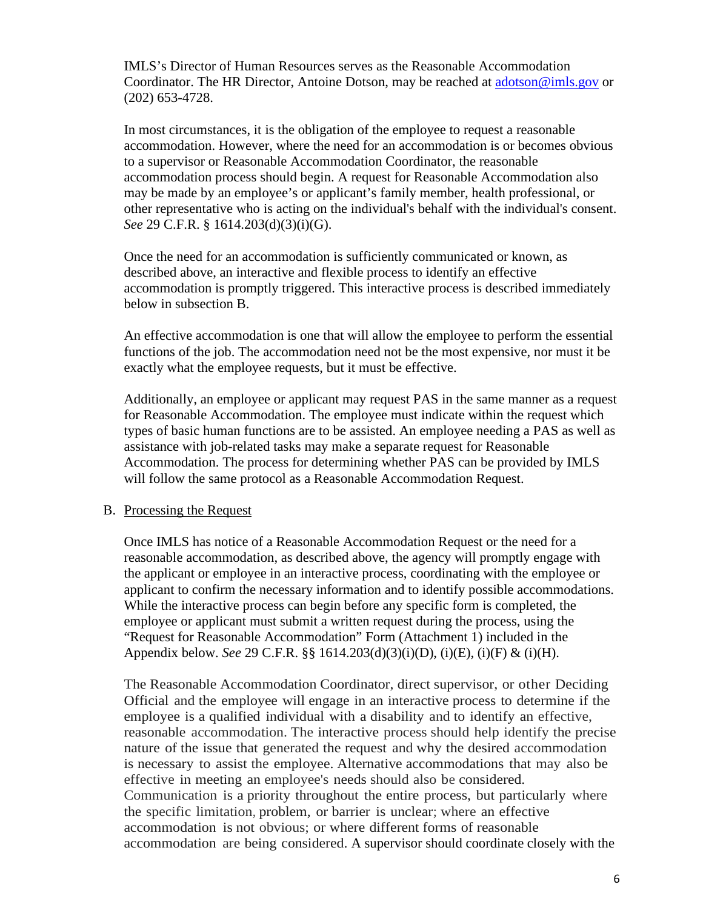$(202)$  653-4728. IMLS's Director of Human Resources serves as the Reasonable Accommodation Coordinator. The HR Director, Antoine Dotson, may be reached at [adotson@imls.gov](mailto:adotson@imls.gov) or

(202) 653-4728.<br>In most circumstances, it is the obligation of the employee to request a reasonable accommodation process should begin. A request for Reasonable Accommodation also may be made by an employee's or applicant's family member, health professional, or *See* 29 C.F.R. § 1614.203(d)(3)(i)(G). accommodation. However, where the need for an accommodation is or becomes obvious to a supervisor or Reasonable Accommodation Coordinator, the reasonable other representative who is acting on the individual's behalf with the individual's consent.

Once the need for an accommodation is sufficiently communicated or known, as described above, an interactive and flexible process to identify an effective accommodation is promptly triggered. This interactive process is described immediately below in subsection B.

An effective accommodation is one that will allow the employee to perform the essential functions of the job. The accommodation need not be the most expensive, nor must it be exactly what the employee requests, but it must be effective.

 Additionally, an employee or applicant may request PAS in the same manner as a request types of basic human functions are to be assisted. An employee needing a PAS as well as for Reasonable Accommodation. The employee must indicate within the request which assistance with job-related tasks may make a separate request for Reasonable Accommodation. The process for determining whether PAS can be provided by IMLS will follow the same protocol as a Reasonable Accommodation Request.

#### B. Processing the Request

 Once IMLS has notice of a Reasonable Accommodation Request or the need for a applicant to confirm the necessary information and to identify possible accommodations. While the interactive process can begin before any specific form is completed, the Appendix below. *See* 29 C.F.R. §§ 1614.203(d)(3)(i)(D), (i)(E), (i)(F) & (i)(H). reasonable accommodation, as described above, the agency will promptly engage with the applicant or employee in an interactive process, coordinating with the employee or employee or applicant must submit a written request during the process, using the "Request for Reasonable Accommodation" Form (Attachment 1) included in the

 The Reasonable Accommodation Coordinator, direct supervisor, or other Deciding Official and the employee will engage in an interactive process to determine if the employee is a qualified individual with a disability and to identify an effective, reasonable accommodation. The interactive process should help identify the precise nature of the issue that generated the request and why the desired accommodation is necessary to assist the employee. Alternative accommodations that may also be effective in meeting an employee's needs should also be considered. Communication is a priority throughout the entire process, but particularly where the specific limitation, problem, or barrier is unclear; where an effective accommodation is not obvious; or where different forms of reasonable accommodation are being considered. A supervisor should coordinate closely with the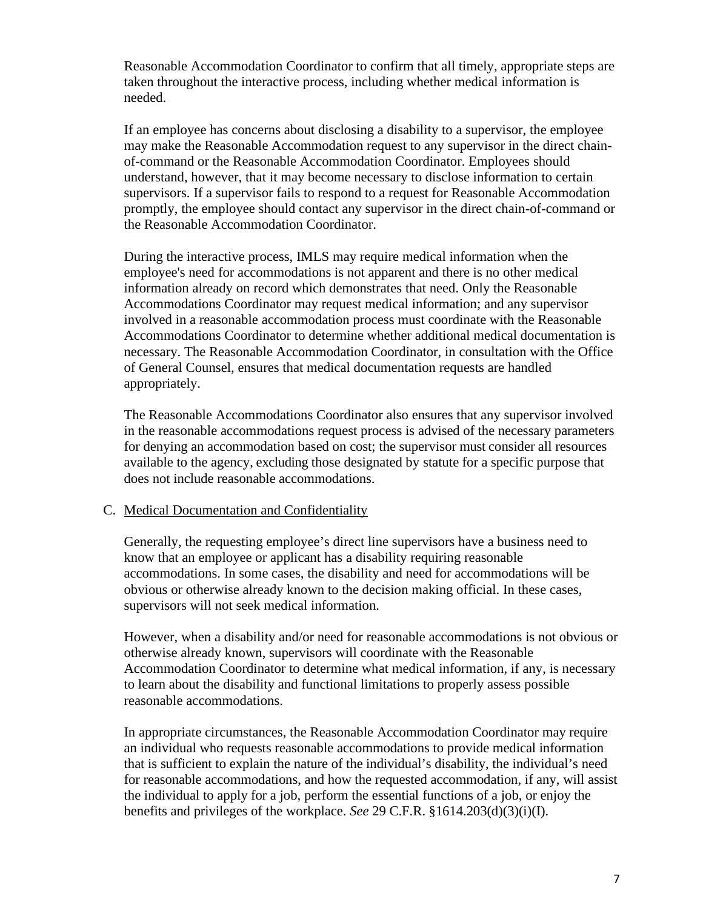Reasonable Accommodation Coordinator to confirm that all timely, appropriate steps are taken throughout the interactive process, including whether medical information is needed.

the Reasonable Accommodation Coordinator. If an employee has concerns about disclosing a disability to a supervisor, the employee may make the Reasonable Accommodation request to any supervisor in the direct chainof-command or the Reasonable Accommodation Coordinator. Employees should understand, however, that it may become necessary to disclose information to certain supervisors. If a supervisor fails to respond to a request for Reasonable Accommodation promptly, the employee should contact any supervisor in the direct chain-of-command or

 employee's need for accommodations is not apparent and there is no other medical involved in a reasonable accommodation process must coordinate with the Reasonable During the interactive process, IMLS may require medical information when the information already on record which demonstrates that need. Only the Reasonable Accommodations Coordinator may request medical information; and any supervisor Accommodations Coordinator to determine whether additional medical documentation is necessary. The Reasonable Accommodation Coordinator, in consultation with the Office of General Counsel, ensures that medical documentation requests are handled appropriately.

 for denying an accommodation based on cost; the supervisor must consider all resources available to the agency, excluding those designated by statute for a specific purpose that The Reasonable Accommodations Coordinator also ensures that any supervisor involved in the reasonable accommodations request process is advised of the necessary parameters does not include reasonable accommodations.

#### C. Medical Documentation and Confidentiality

Generally, the requesting employee's direct line supervisors have a business need to know that an employee or applicant has a disability requiring reasonable accommodations. In some cases, the disability and need for accommodations will be obvious or otherwise already known to the decision making official. In these cases, supervisors will not seek medical information.

However, when a disability and/or need for reasonable accommodations is not obvious or otherwise already known, supervisors will coordinate with the Reasonable Accommodation Coordinator to determine what medical information, if any, is necessary to learn about the disability and functional limitations to properly assess possible reasonable accommodations.

 In appropriate circumstances, the Reasonable Accommodation Coordinator may require an individual who requests reasonable accommodations to provide medical information that is sufficient to explain the nature of the individual's disability, the individual's need for reasonable accommodations, and how the requested accommodation, if any, will assist the individual to apply for a job, perform the essential functions of a job, or enjoy the benefits and privileges of the workplace. *See* 29 C.F.R. §1614.203(d)(3)(i)(I).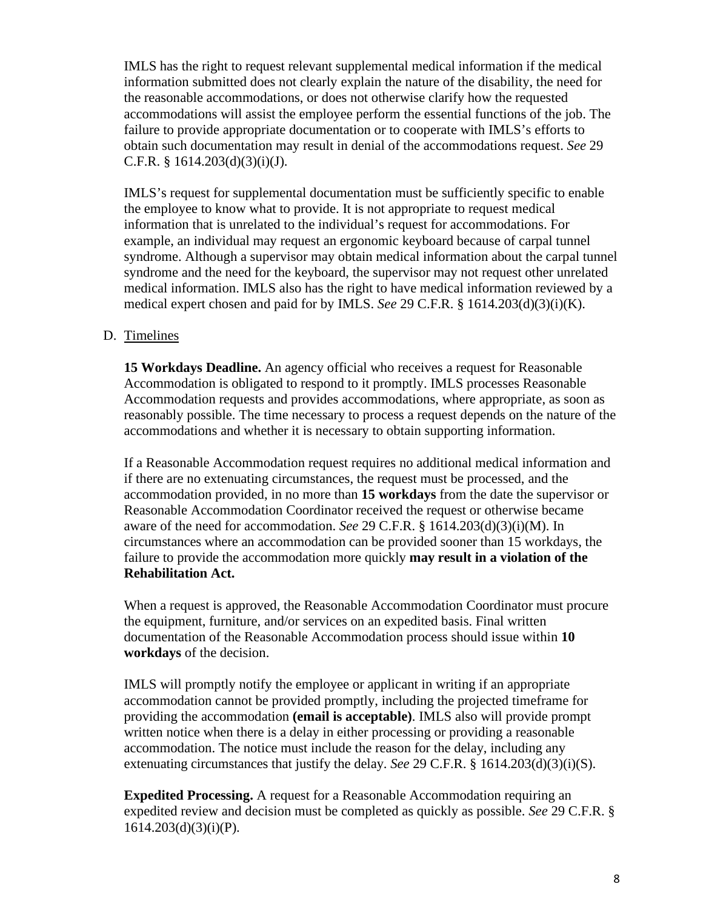IMLS has the right to request relevant supplemental medical information if the medical obtain such documentation may result in denial of the accommodations request. *See* 29 C.F.R. § 1614.203(d)(3)(i)(J). information submitted does not clearly explain the nature of the disability, the need for the reasonable accommodations, or does not otherwise clarify how the requested accommodations will assist the employee perform the essential functions of the job. The failure to provide appropriate documentation or to cooperate with IMLS's efforts to

 medical expert chosen and paid for by IMLS. *See* 29 C.F.R. § 1614.203(d)(3)(i)(K). IMLS's request for supplemental documentation must be sufficiently specific to enable the employee to know what to provide. It is not appropriate to request medical information that is unrelated to the individual's request for accommodations. For example, an individual may request an ergonomic keyboard because of carpal tunnel syndrome. Although a supervisor may obtain medical information about the carpal tunnel syndrome and the need for the keyboard, the supervisor may not request other unrelated medical information. IMLS also has the right to have medical information reviewed by a

#### D. Timelines

 Accommodation is obligated to respond to it promptly. IMLS processes Reasonable accommodations and whether it is necessary to obtain supporting information. **15 Workdays Deadline.** An agency official who receives a request for Reasonable Accommodation requests and provides accommodations, where appropriate, as soon as reasonably possible. The time necessary to process a request depends on the nature of the

 If a Reasonable Accommodation request requires no additional medical information and  accommodation provided, in no more than **15 workdays** from the date the supervisor or Reasonable Accommodation Coordinator received the request or otherwise became aware of the need for accommodation. *See* 29 C.F.R. § 1614.203(d)(3)(i)(M). In circumstances where an accommodation can be provided sooner than 15 workdays, the failure to provide the accommodation more quickly **may result in a violation of the Rehabilitation Act.**  if there are no extenuating circumstances, the request must be processed, and the

workdays of the decision. When a request is approved, the Reasonable Accommodation Coordinator must procure the equipment, furniture, and/or services on an expedited basis. Final written documentation of the Reasonable Accommodation process should issue within **10** 

**workdays** of the decision.<br>IMLS will promptly notify the employee or applicant in writing if an appropriate written notice when there is a delay in either processing or providing a reasonable accommodation. The notice must include the reason for the delay, including any extenuating circumstances that justify the delay. *See* 29 C.F.R. § 1614.203(d)(3)(i)(S). accommodation cannot be provided promptly, including the projected timeframe for providing the accommodation **(email is acceptable)**. IMLS also will provide prompt

 expedited review and decision must be completed as quickly as possible. *See* 29 C.F.R. § **Expedited Processing.** A request for a Reasonable Accommodation requiring an  $1614.203(d)(3)(i)(P)$ .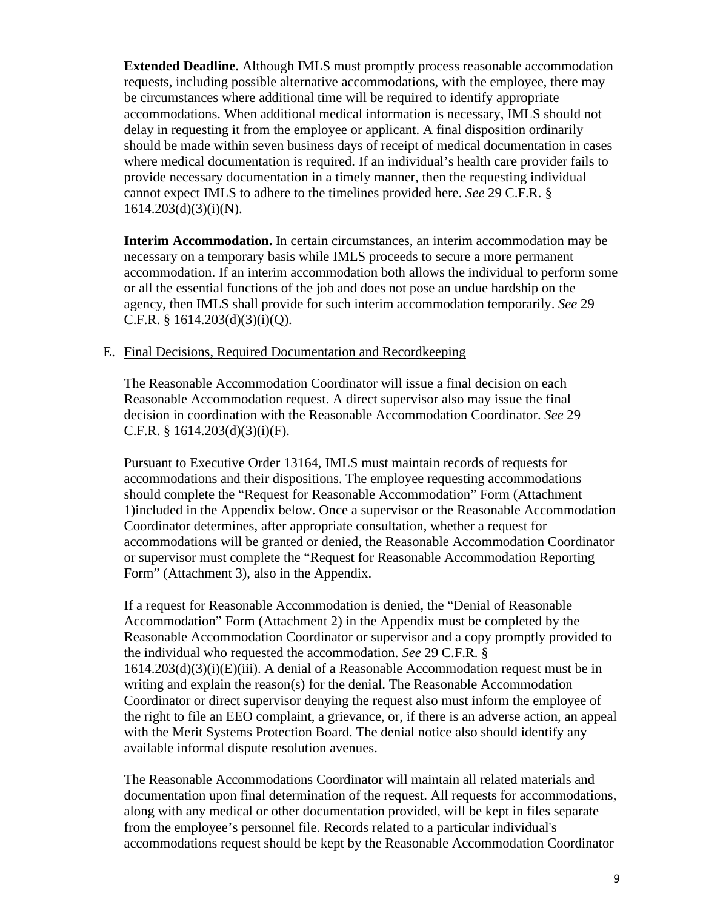**Extended Deadline.** Although IMLS must promptly process reasonable accommodation cannot expect IMLS to adhere to the timelines provided here. *See* 29 C.F.R. § requests, including possible alternative accommodations, with the employee, there may be circumstances where additional time will be required to identify appropriate accommodations. When additional medical information is necessary, IMLS should not delay in requesting it from the employee or applicant. A final disposition ordinarily should be made within seven business days of receipt of medical documentation in cases where medical documentation is required. If an individual's health care provider fails to provide necessary documentation in a timely manner, then the requesting individual  $1614.203(d)(3)(i)(N)$ .

 accommodation. If an interim accommodation both allows the individual to perform some or all the essential functions of the job and does not pose an undue hardship on the agency, then IMLS shall provide for such interim accommodation temporarily. *See* 29 **Interim Accommodation.** In certain circumstances, an interim accommodation may be necessary on a temporary basis while IMLS proceeds to secure a more permanent C.F.R. § 1614.203(d)(3)(i)(Q).

#### E. Final Decisions, Required Documentation and Recordkeeping

 decision in coordination with the Reasonable Accommodation Coordinator. *See* 29 The Reasonable Accommodation Coordinator will issue a final decision on each Reasonable Accommodation request. A direct supervisor also may issue the final C.F.R. § 1614.203(d)(3)(i)(F).

 should complete the "Request for Reasonable Accommodation" Form (Attachment 1)included in the Appendix below. Once a supervisor or the Reasonable Accommodation accommodations will be granted or denied, the Reasonable Accommodation Coordinator Pursuant to Executive Order 13164, IMLS must maintain records of requests for accommodations and their dispositions. The employee requesting accommodations Coordinator determines, after appropriate consultation, whether a request for or supervisor must complete the "Request for Reasonable Accommodation Reporting Form" (Attachment 3), also in the Appendix.

 the individual who requested the accommodation. *See* 29 C.F.R. § with the Merit Systems Protection Board. The denial notice also should identify any If a request for Reasonable Accommodation is denied, the "Denial of Reasonable Accommodation" Form (Attachment 2) in the Appendix must be completed by the Reasonable Accommodation Coordinator or supervisor and a copy promptly provided to  $1614.203(d)(3)(i)(E)(iii)$ . A denial of a Reasonable Accommodation request must be in writing and explain the reason(s) for the denial. The Reasonable Accommodation Coordinator or direct supervisor denying the request also must inform the employee of the right to file an EEO complaint, a grievance, or, if there is an adverse action, an appeal available informal dispute resolution avenues.

The Reasonable Accommodations Coordinator will maintain all related materials and documentation upon final determination of the request. All requests for accommodations, along with any medical or other documentation provided, will be kept in files separate from the employee's personnel file. Records related to a particular individual's accommodations request should be kept by the Reasonable Accommodation Coordinator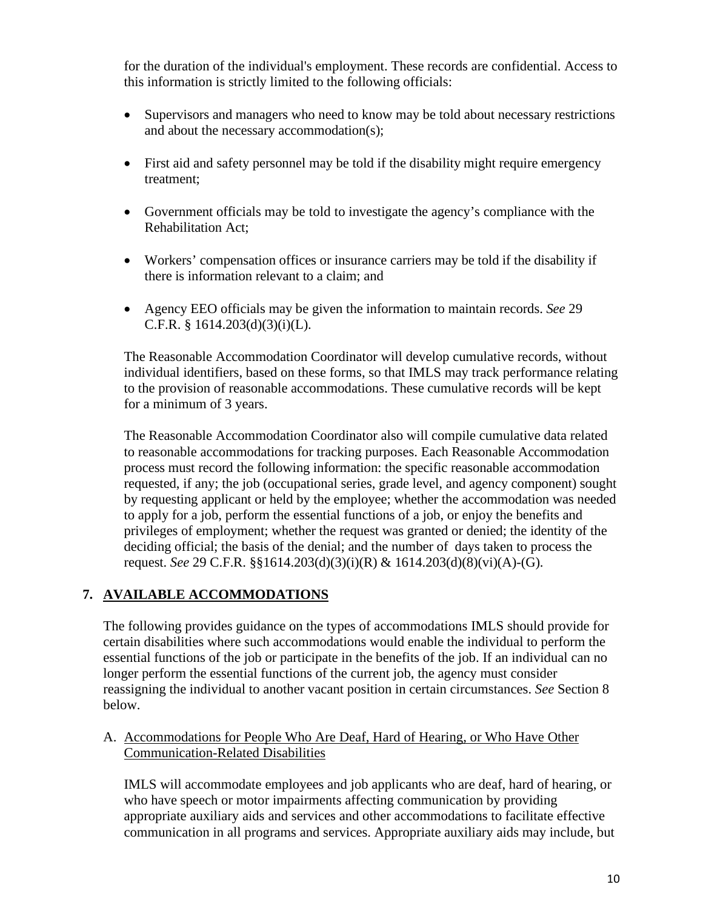this information is strictly limited to the following officials: for the duration of the individual's employment. These records are confidential. Access to

- • Supervisors and managers who need to know may be told about necessary restrictions and about the necessary accommodation(s);
- • First aid and safety personnel may be told if the disability might require emergency treatment;
- • Government officials may be told to investigate the agency's compliance with the Rehabilitation Act;
- • Workers' compensation offices or insurance carriers may be told if the disability if there is information relevant to a claim; and
- • Agency EEO officials may be given the information to maintain records. *See* 29 C.F.R. § 1614.203(d)(3)(i)(L).

 to the provision of reasonable accommodations. These cumulative records will be kept The Reasonable Accommodation Coordinator will develop cumulative records, without individual identifiers, based on these forms, so that IMLS may track performance relating for a minimum of 3 years.

 process must record the following information: the specific reasonable accommodation requested, if any; the job (occupational series, grade level, and agency component) sought by requesting applicant or held by the employee; whether the accommodation was needed to apply for a job, perform the essential functions of a job, or enjoy the benefits and privileges of employment; whether the request was granted or denied; the identity of the deciding official; the basis of the denial; and the number of days taken to process the request. *See* 29 C.F.R. §§1614.203(d)(3)(i)(R) & 1614.203(d)(8)(vi)(A)-(G). The Reasonable Accommodation Coordinator also will compile cumulative data related to reasonable accommodations for tracking purposes. Each Reasonable Accommodation

## **7. AVAILABLE ACCOMMODATIONS**

 The following provides guidance on the types of accommodations IMLS should provide for longer perform the essential functions of the current job, the agency must consider certain disabilities where such accommodations would enable the individual to perform the essential functions of the job or participate in the benefits of the job. If an individual can no reassigning the individual to another vacant position in certain circumstances. *See* Section 8 below.

#### A. Accommodations for People Who Are Deaf, Hard of Hearing, or Who Have Other Communication-Related Disabilities

IMLS will accommodate employees and job applicants who are deaf, hard of hearing, or who have speech or motor impairments affecting communication by providing appropriate auxiliary aids and services and other accommodations to facilitate effective communication in all programs and services. Appropriate auxiliary aids may include, but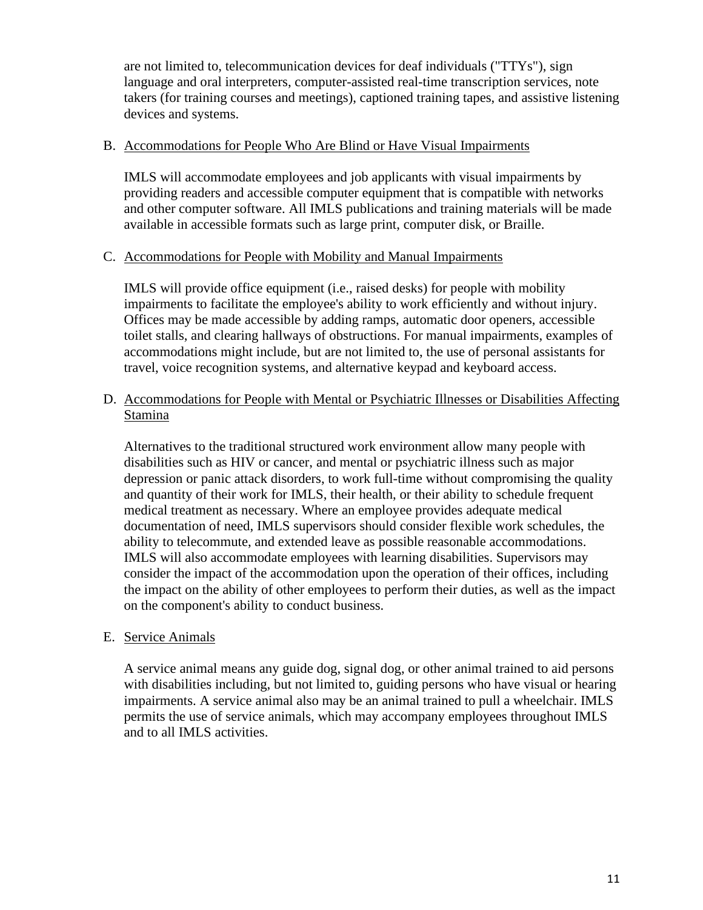are not limited to, telecommunication devices for deaf individuals ("TTYs"), sign language and oral interpreters, computer-assisted real-time transcription services, note takers (for training courses and meetings), captioned training tapes, and assistive listening devices and systems.

#### B. Accommodations for People Who Are Blind or Have Visual Impairments

 and other computer software. All IMLS publications and training materials will be made IMLS will accommodate employees and job applicants with visual impairments by providing readers and accessible computer equipment that is compatible with networks available in accessible formats such as large print, computer disk, or Braille.

#### C. Accommodations for People with Mobility and Manual Impairments

IMLS will provide office equipment (i.e., raised desks) for people with mobility impairments to facilitate the employee's ability to work efficiently and without injury. Offices may be made accessible by adding ramps, automatic door openers, accessible toilet stalls, and clearing hallways of obstructions. For manual impairments, examples of accommodations might include, but are not limited to, the use of personal assistants for travel, voice recognition systems, and alternative keypad and keyboard access.

D. Accommodations for People with Mental or Psychiatric Illnesses or Disabilities Affecting Stamina

 medical treatment as necessary. Where an employee provides adequate medical Alternatives to the traditional structured work environment allow many people with disabilities such as HIV or cancer, and mental or psychiatric illness such as major depression or panic attack disorders, to work full-time without compromising the quality and quantity of their work for IMLS, their health, or their ability to schedule frequent documentation of need, IMLS supervisors should consider flexible work schedules, the ability to telecommute, and extended leave as possible reasonable accommodations. IMLS will also accommodate employees with learning disabilities. Supervisors may consider the impact of the accommodation upon the operation of their offices, including the impact on the ability of other employees to perform their duties, as well as the impact on the component's ability to conduct business.

#### E. Service Animals

 A service animal means any guide dog, signal dog, or other animal trained to aid persons permits the use of service animals, which may accompany employees throughout IMLS and to all IMLS activities. with disabilities including, but not limited to, guiding persons who have visual or hearing impairments. A service animal also may be an animal trained to pull a wheelchair. IMLS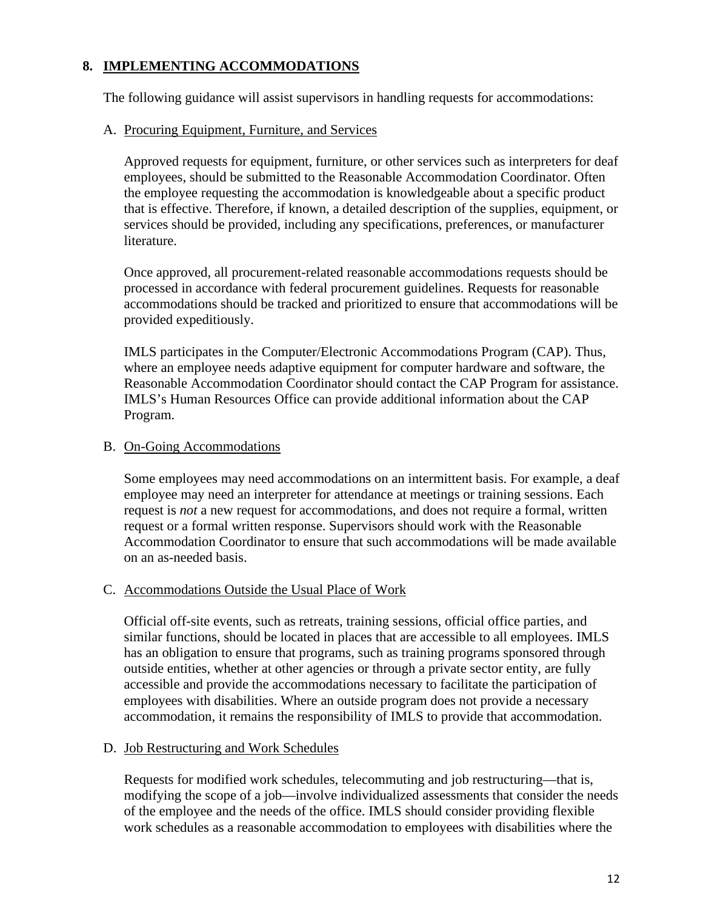## **8. IMPLEMENTING ACCOMMODATIONS**

The following guidance will assist supervisors in handling requests for accommodations:

#### A. Procuring Equipment, Furniture, and Services

Approved requests for equipment, furniture, or other services such as interpreters for deaf employees, should be submitted to the Reasonable Accommodation Coordinator. Often the employee requesting the accommodation is knowledgeable about a specific product that is effective. Therefore, if known, a detailed description of the supplies, equipment, or services should be provided, including any specifications, preferences, or manufacturer literature.

 processed in accordance with federal procurement guidelines. Requests for reasonable accommodations should be tracked and prioritized to ensure that accommodations will be Once approved, all procurement-related reasonable accommodations requests should be provided expeditiously.

 IMLS participates in the Computer/Electronic Accommodations Program (CAP). Thus, where an employee needs adaptive equipment for computer hardware and software, the Reasonable Accommodation Coordinator should contact the CAP Program for assistance. IMLS's Human Resources Office can provide additional information about the CAP Program.

#### B. On-Going Accommodations

Some employees may need accommodations on an intermittent basis. For example, a deaf employee may need an interpreter for attendance at meetings or training sessions. Each request is *not* a new request for accommodations, and does not require a formal, written request or a formal written response. Supervisors should work with the Reasonable Accommodation Coordinator to ensure that such accommodations will be made available on an as-needed basis.

#### C. Accommodations Outside the Usual Place of Work

Official off-site events, such as retreats, training sessions, official office parties, and similar functions, should be located in places that are accessible to all employees. IMLS has an obligation to ensure that programs, such as training programs sponsored through outside entities, whether at other agencies or through a private sector entity, are fully accessible and provide the accommodations necessary to facilitate the participation of employees with disabilities. Where an outside program does not provide a necessary accommodation, it remains the responsibility of IMLS to provide that accommodation.

#### D. Job Restructuring and Work Schedules

 modifying the scope of a job—involve individualized assessments that consider the needs of the employee and the needs of the office. IMLS should consider providing flexible Requests for modified work schedules, telecommuting and job restructuring—that is, work schedules as a reasonable accommodation to employees with disabilities where the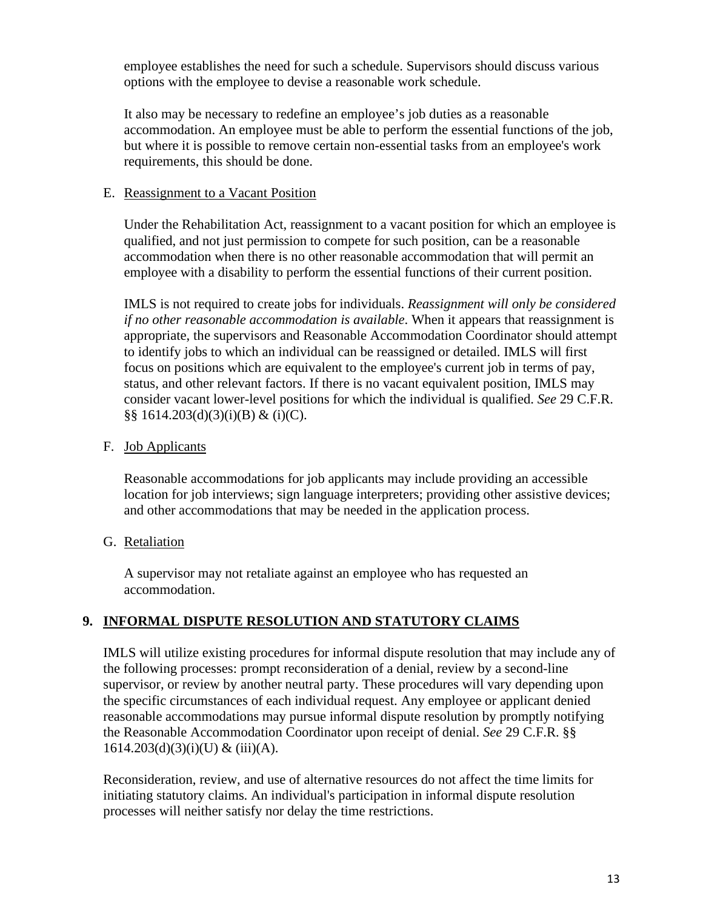employee establishes the need for such a schedule. Supervisors should discuss various options with the employee to devise a reasonable work schedule.

It also may be necessary to redefine an employee's job duties as a reasonable accommodation. An employee must be able to perform the essential functions of the job, but where it is possible to remove certain non-essential tasks from an employee's work requirements, this should be done.

#### E. Reassignment to a Vacant Position

 qualified, and not just permission to compete for such position, can be a reasonable accommodation when there is no other reasonable accommodation that will permit an employee with a disability to perform the essential functions of their current position. Under the Rehabilitation Act, reassignment to a vacant position for which an employee is

 consider vacant lower-level positions for which the individual is qualified. *See* 29 C.F.R.  $\S\S 1614.203(d)(3)(i)(B) & (i)(C).$ IMLS is not required to create jobs for individuals. *Reassignment will only be considered if no other reasonable accommodation is available*. When it appears that reassignment is appropriate, the supervisors and Reasonable Accommodation Coordinator should attempt to identify jobs to which an individual can be reassigned or detailed. IMLS will first focus on positions which are equivalent to the employee's current job in terms of pay, status, and other relevant factors. If there is no vacant equivalent position, IMLS may

#### F. Job Applicants

Reasonable accommodations for job applicants may include providing an accessible location for job interviews; sign language interpreters; providing other assistive devices; and other accommodations that may be needed in the application process.

#### G. Retaliation

A supervisor may not retaliate against an employee who has requested an accommodation.

#### **9. INFORMAL DISPUTE RESOLUTION AND STATUTORY CLAIMS**

 the following processes: prompt reconsideration of a denial, review by a second-line the specific circumstances of each individual request. Any employee or applicant denied the Reasonable Accommodation Coordinator upon receipt of denial. *See* 29 C.F.R. §§  $1614.203(d)(3)(i)(U)$  & (iii)(A). IMLS will utilize existing procedures for informal dispute resolution that may include any of supervisor, or review by another neutral party. These procedures will vary depending upon reasonable accommodations may pursue informal dispute resolution by promptly notifying

Reconsideration, review, and use of alternative resources do not affect the time limits for initiating statutory claims. An individual's participation in informal dispute resolution processes will neither satisfy nor delay the time restrictions.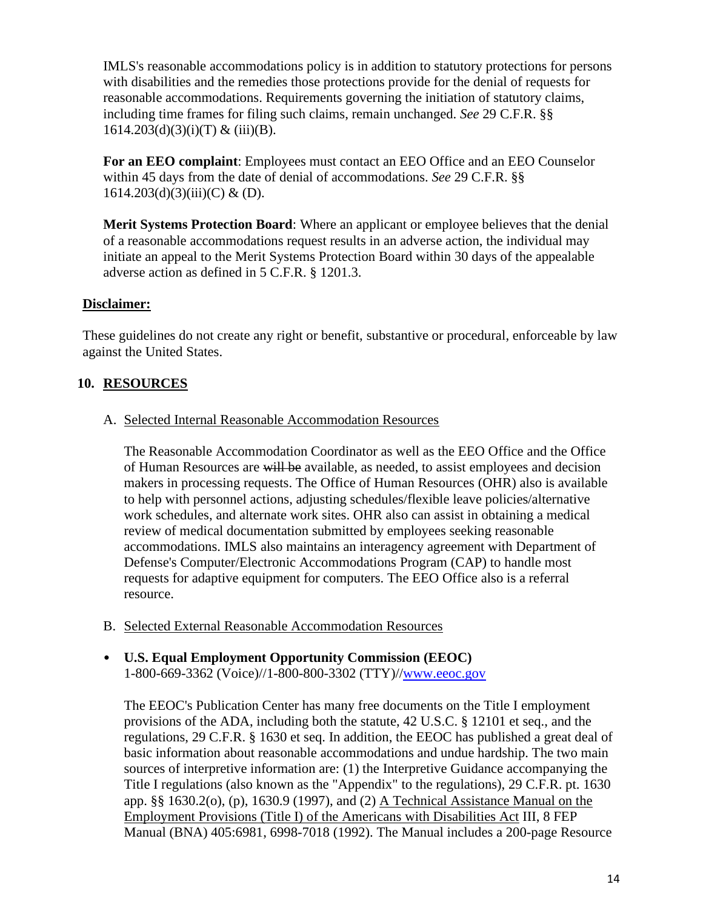including time frames for filing such claims, remain unchanged. *See* 29 C.F.R. §§  $1614.203(d)(3)(i)(T)$  & (iii)(B). IMLS's reasonable accommodations policy is in addition to statutory protections for persons with disabilities and the remedies those protections provide for the denial of requests for reasonable accommodations. Requirements governing the initiation of statutory claims,

 within 45 days from the date of denial of accommodations. *See* 29 C.F.R. §§ 1614.203(d)(3)(iii)(C) & (D). **For an EEO complaint**: Employees must contact an EEO Office and an EEO Counselor

 **Merit Systems Protection Board**: Where an applicant or employee believes that the denial initiate an appeal to the Merit Systems Protection Board within 30 days of the appealable of a reasonable accommodations request results in an adverse action, the individual may adverse action as defined in 5 C.F.R. § 1201.3.

#### **Disclaimer:**

 These guidelines do not create any right or benefit, substantive or procedural, enforceable by law against the United States.

### **10. RESOURCES**

A. Selected Internal Reasonable Accommodation Resources

of Human Resources are will be available, as needed, to assist employees and decision makers in processing requests. The Office of Human Resources (OHR) also is available work schedules, and alternate work sites. OHR also can assist in obtaining a medical accommodations. IMLS also maintains an interagency agreement with Department of requests for adaptive equipment for computers. The EEO Office also is a referral The Reasonable Accommodation Coordinator as well as the EEO Office and the Office to help with personnel actions, adjusting schedules/flexible leave policies/alternative review of medical documentation submitted by employees seeking reasonable Defense's Computer/Electronic Accommodations Program (CAP) to handle most resource.

- B. Selected External Reasonable Accommodation Resources
- • **U.S. Equal Employment Opportunity Commission (EEOC)**  1-800-669-3362 (Voice)//1-800-800-3302 (TTY)/[/www.eeoc.gov](http://www.eeoc.gov/)

 sources of interpretive information are: (1) the Interpretive Guidance accompanying the Employment Provisions (Title I) of the Americans with Disabilities Act III, 8 FEP The EEOC's Publication Center has many free documents on the Title I employment provisions of the ADA, including both the statute, 42 U.S.C. § 12101 et seq., and the regulations, 29 C.F.R. § 1630 et seq. In addition, the EEOC has published a great deal of basic information about reasonable accommodations and undue hardship. The two main Title I regulations (also known as the "Appendix" to the regulations), 29 C.F.R. pt. 1630 app. §§ 1630.2(o), (p), 1630.9 (1997), and (2) A Technical Assistance Manual on the Manual (BNA) 405:6981, 6998-7018 (1992). The Manual includes a 200-page Resource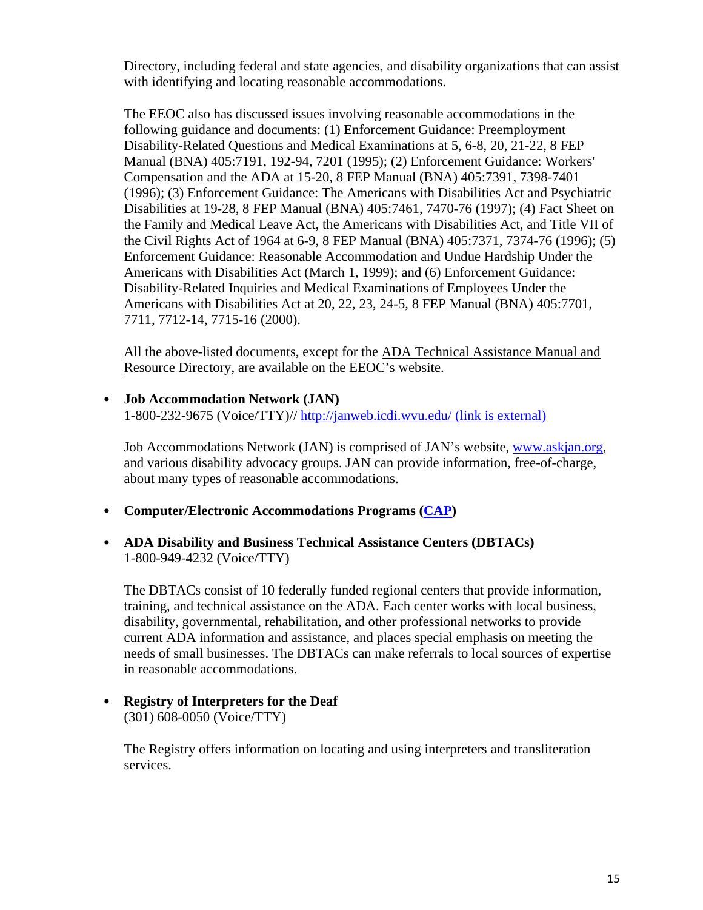Directory, including federal and state agencies, and disability organizations that can assist with identifying and locating reasonable accommodations.

 The EEOC also has discussed issues involving reasonable accommodations in the following guidance and documents: (1) Enforcement Guidance: Preemployment Disability-Related Questions and Medical Examinations at 5, 6-8, 20, 21-22, 8 FEP Manual (BNA) 405:7191, 192-94, 7201 (1995); (2) Enforcement Guidance: Workers' Compensation and the ADA at 15-20, 8 FEP Manual (BNA) 405:7391, 7398-7401 (1996); (3) Enforcement Guidance: The Americans with Disabilities Act and Psychiatric Disabilities at 19-28, 8 FEP Manual (BNA) 405:7461, 7470-76 (1997); (4) Fact Sheet on the Family and Medical Leave Act, the Americans with Disabilities Act, and Title VII of the Civil Rights Act of 1964 at 6-9, 8 FEP Manual (BNA) 405:7371, 7374-76 (1996); (5) Enforcement Guidance: Reasonable Accommodation and Undue Hardship Under the Americans with Disabilities Act (March 1, 1999); and (6) Enforcement Guidance: Disability-Related Inquiries and Medical Examinations of Employees Under the Americans with Disabilities Act at 20, 22, 23, 24-5, 8 FEP Manual (BNA) 405:7701, 7711, 7712-14, 7715-16 (2000).

Resource Directory, are available on the EEOC's website. All the above-listed documents, except for the ADA Technical Assistance Manual and

#### • **Job Accommodation Network (JAN)**

1-800-232-9675 (Voice/TTY)// [http://janweb.icdi.wvu.edu/ \(link is external\)](http://janweb.icdi.wvu.edu/) 

Job Accommodations Network (JAN) is comprised of JAN's website, [www.askjan.org,](http://www.askjan.org/) and various disability advocacy groups. JAN can provide information, free-of-charge, about many types of reasonable accommodations.

• **Computer/Electronic Accommodations Programs [\(CAP\)](http://cap.mil/Request/Request.aspx)** 

#### • **ADA Disability and Business Technical Assistance Centers (DBTACs)**  1-800-949-4232 (Voice/TTY)

The DBTACs consist of 10 federally funded regional centers that provide information, training, and technical assistance on the ADA. Each center works with local business, disability, governmental, rehabilitation, and other professional networks to provide current ADA information and assistance, and places special emphasis on meeting the needs of small businesses. The DBTACs can make referrals to local sources of expertise in reasonable accommodations.

#### • **Registry of Interpreters for the Deaf**  (301) 608-0050 (Voice/TTY)

The Registry offers information on locating and using interpreters and transliteration services.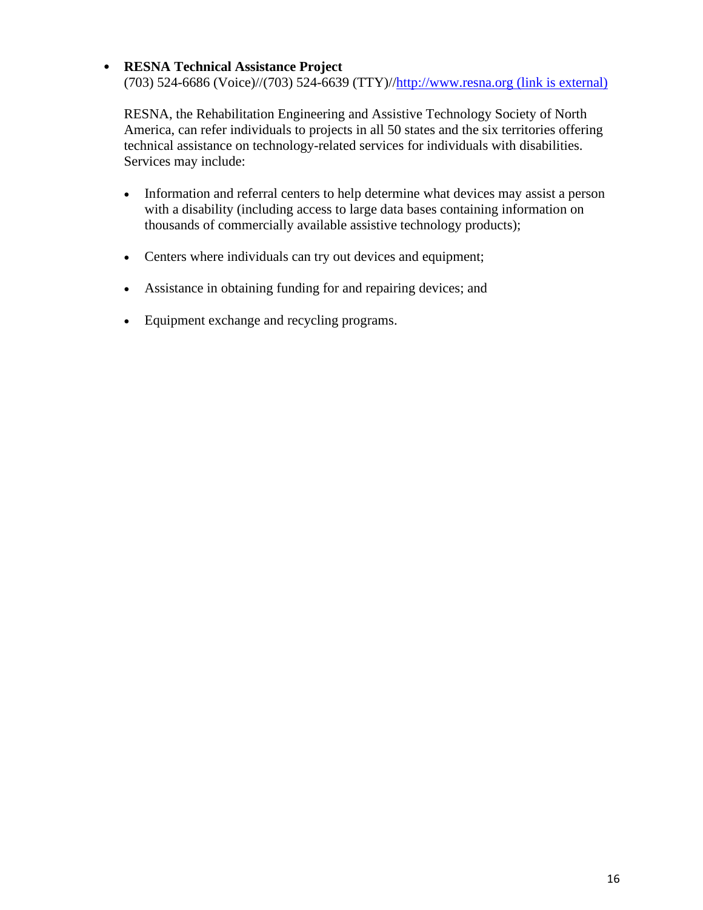#### • **RESNA Technical Assistance Project**

(703) 524-6686 (Voice)//(703) 524-6639 (TTY)//http://www.resna.org (link is external)

RESNA, the Rehabilitation Engineering and Assistive Technology Society of North America, can refer individuals to projects in all 50 states and the six territories offering technical assistance on technology-related services for individuals with disabilities. Services may include:

- Information and referral centers to help determine what devices may assist a person with a disability (including access to large data bases containing information on thousands of commercially available assistive technology products);
- Centers where individuals can try out devices and equipment;
- Assistance in obtaining funding for and repairing devices; and
- Equipment exchange and recycling programs.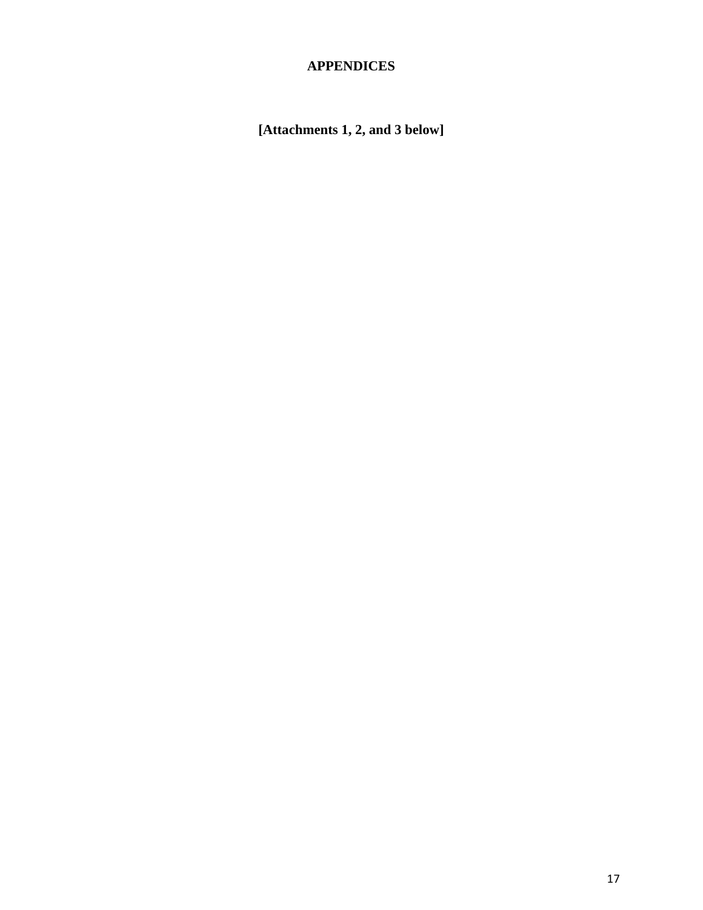## **APPENDICES**

 **[Attachments 1, 2, and 3 below]**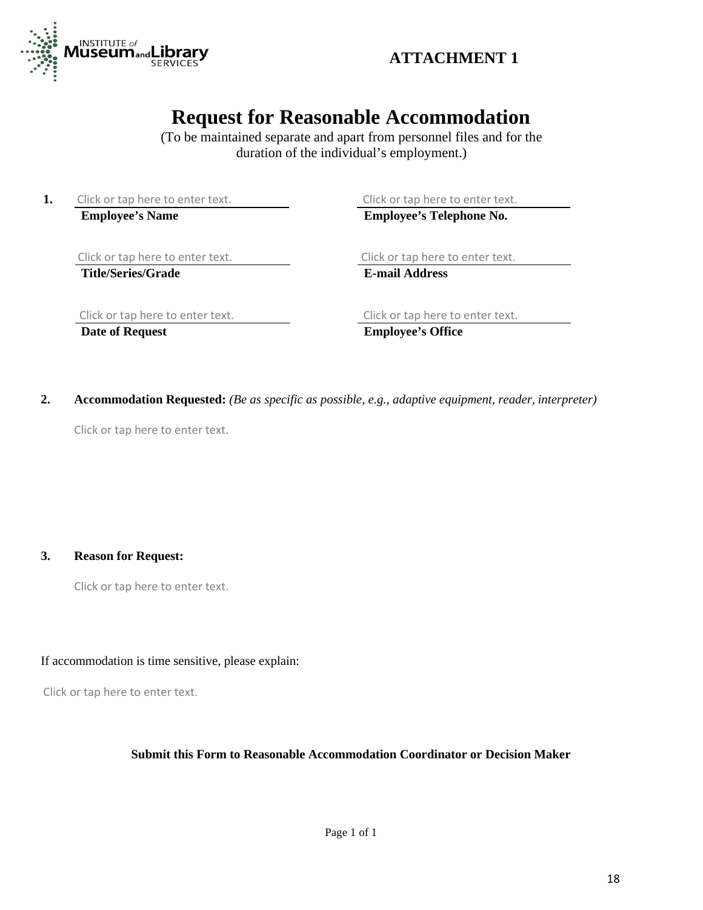

# **Request for Reasonable Accommodation**

(To be maintained separate and apart from personnel files and for the duration of the individual's employment.)

**1.** Click or tap here to enter text. **Employee's Name** 

Click or tap here to enter text. **Employee's Telephone No.** 

Click or tap here to enter text.

**Title/Series/Grade** 

 **E-mail Address**  Click or tap here to enter text.

Click or tap here to enter text.

 **Date of Request** 

Click or tap here to enter text.

**Employee's Office** 

2. Accommodation Requested: *(Be as specific as possible, e.g., adaptive equipment, reader, interpreter)* 

Click or tap here to enter text.

**3. Reason for Request:** 

Click or tap here to enter text.

If accommodation is time sensitive, please explain:

Click or tap here to enter text.

#### **Submit this Form to Reasonable Accommodation Coordinator or Decision Maker**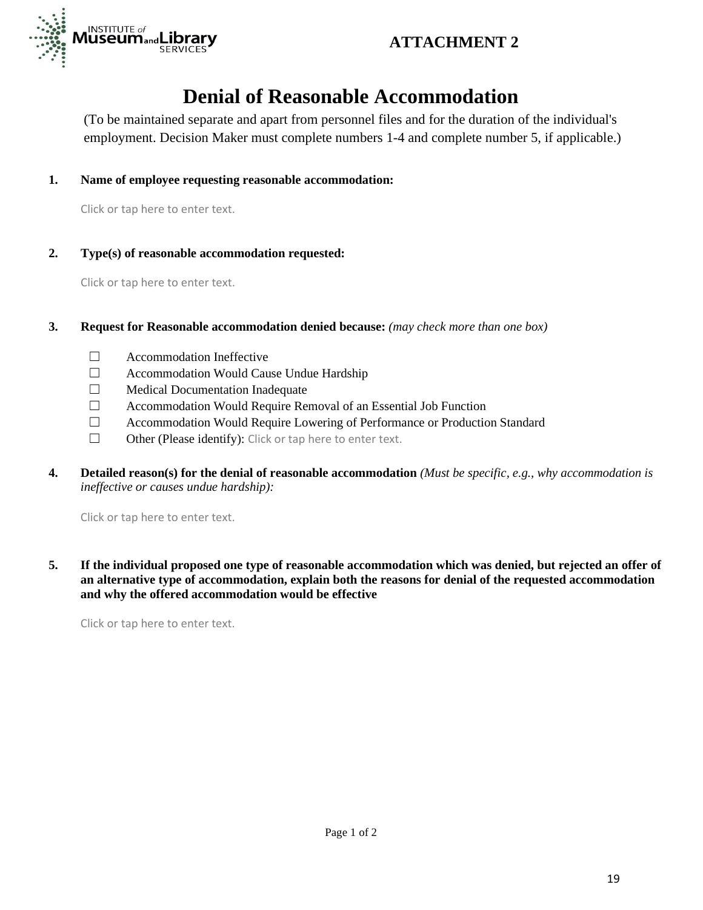



# **Denial of Reasonable Accommodation**

(To be maintained separate and apart from personnel files and for the duration of the individual's employment. Decision Maker must complete numbers 1-4 and complete number 5, if applicable.)

**1. Name of employee requesting reasonable accommodation:** 

Click or tap here to enter text.

**2. Type(s) of reasonable accommodation requested:** 

Click or tap here to enter text.

- **3.** Request for Reasonable accommodation denied because: *(may check more than one box)* 
	- $\Box$ ☐ Accommodation Ineffective
	- $\Box$ ☐ Accommodation Would Cause Undue Hardship
	- $\Box$ Medical Documentation Inadequate
	- $\Box$ ☐ Accommodation Would Require Removal of an Essential Job Function
	- П. ☐ Accommodation Would Require Lowering of Performance or Production Standard
	- $\Box$ Other (Please identify): Click or tap here to enter text.
- *ineffective or causes undue hardship):*  **4. Detailed reason(s) for the denial of reasonable accommodation** *(Must be specific, e.g., why accommodation is*

Click or tap here to enter text.

 **5. If the individual proposed one type of reasonable accommodation which was denied, but rejected an offer of an alternative type of accommodation, explain both the reasons for denial of the requested accommodation and why the offered accommodation would be effective** 

Click or tap here to enter text.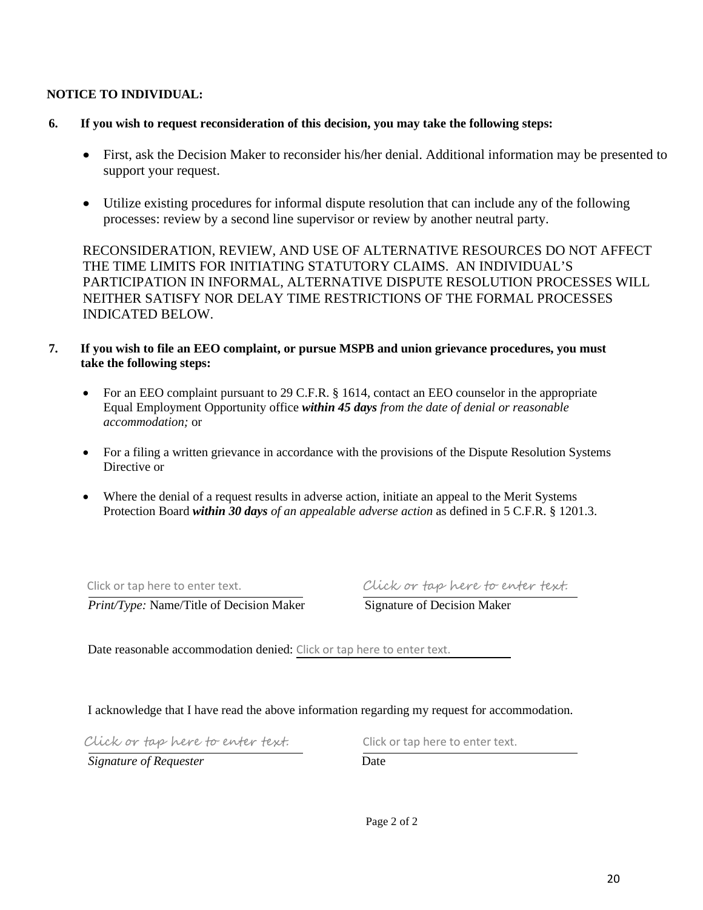#### **NOTICE TO INDIVIDUAL:**

- **6. If you wish to request reconsideration of this decision, you may take the following steps:** 
	- First, ask the Decision Maker to reconsider his/her denial. Additional information may be presented to support your request.
	- Utilize existing procedures for informal dispute resolution that can include any of the following processes: review by a second line supervisor or review by another neutral party.

RECONSIDERATION, REVIEW, AND USE OF ALTERNATIVE RESOURCES DO NOT AFFECT THE TIME LIMITS FOR INITIATING STATUTORY CLAIMS. AN INDIVIDUAL'S PARTICIPATION IN INFORMAL, ALTERNATIVE DISPUTE RESOLUTION PROCESSES WILL NEITHER SATISFY NOR DELAY TIME RESTRICTIONS OF THE FORMAL PROCESSES INDICATED BELOW.

- **7. If you wish to file an EEO complaint, or pursue MSPB and union grievance procedures, you must take the following steps:** 
	- For an EEO complaint pursuant to 29 C.F.R. § 1614, contact an EEO counselor in the appropriate Equal Employment Opportunity office *within 45 days from the date of denial or reasonable accommodation;* or
	- For a filing a written grievance in accordance with the provisions of the Dispute Resolution Systems Directive or
	- Where the denial of a request results in adverse action, initiate an appeal to the Merit Systems Protection Board *within 30 days of an appealable adverse action* as defined in 5 C.F.R. § 1201.3.

*Print/Type:* Name/Title of Decision Maker Signature of Decision Maker

Click or tap here to enter text. Click or tap here to enter text.

Date reasonable accommodation denied: Click or tap here to enter text.

I acknowledge that I have read the above information regarding my request for accommodation.

 Click or tap here to enter text. Click or tap here to enter text.

*Signature of Requester* Date

Page 2 of 2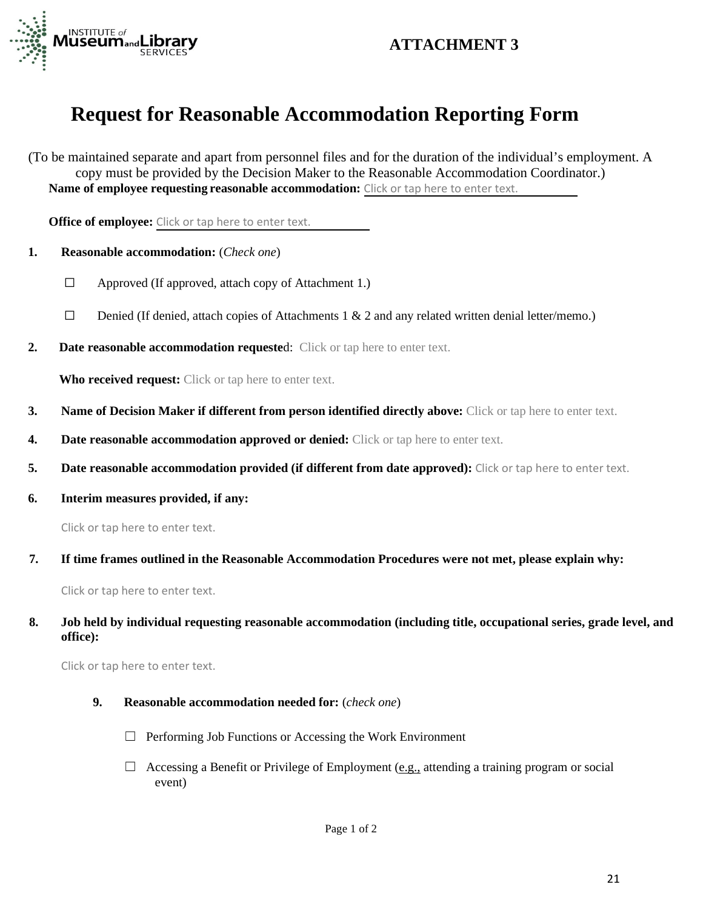

## **ATTACHMENT 3**

## **Request for Reasonable Accommodation Reporting Form**

(To be maintained separate and apart from personnel files and for the duration of the individual's employment. A copy must be provided by the Decision Maker to the Reasonable Accommodation Coordinator.) **Name of employee requesting reasonable accommodation:** Click or tap here to enter text.

**Office of employee:** Click or tap here to enter text.

- **1. Reasonable accommodation:** (*Check one*)
	- $\Box$ Approved (If approved, attach copy of Attachment 1.)
	- $\Box$ Denied (If denied, attach copies of Attachments 1 & 2 and any related written denial letter/memo.)
- **2. Date reasonable accommodation requeste**d: Click or tap here to enter text.

**Who received request:** Click or tap here to enter text.

- **3.** Name of Decision Maker if different from person identified directly above: Click or tap here to enter text.
- **4.** Date **reasonable accommodation approved or denied:** Click or tap here to enter text.
- **5.** Date reasonable accommodation provided (if different from date approved): Click or tap here to enter text.
- **6. Interim measures provided, if any:**

Click or tap here to enter text.

 **7. If time frames outlined in the Reasonable Accommodation Procedures were not met, please explain why:** 

Click or tap here to enter text.

#### **8. Job held by individual requesting reasonable accommodation (including title, occupational series, grade level, and office):**

Click or tap here to enter text.

- **9. Reasonable accommodation needed for:** (*check one*)
	- ☐ Performing Job Functions or Accessing the Work Environment
	- □ Accessing a Benefit or Privilege of Employment (e.g., attending a training program or social event)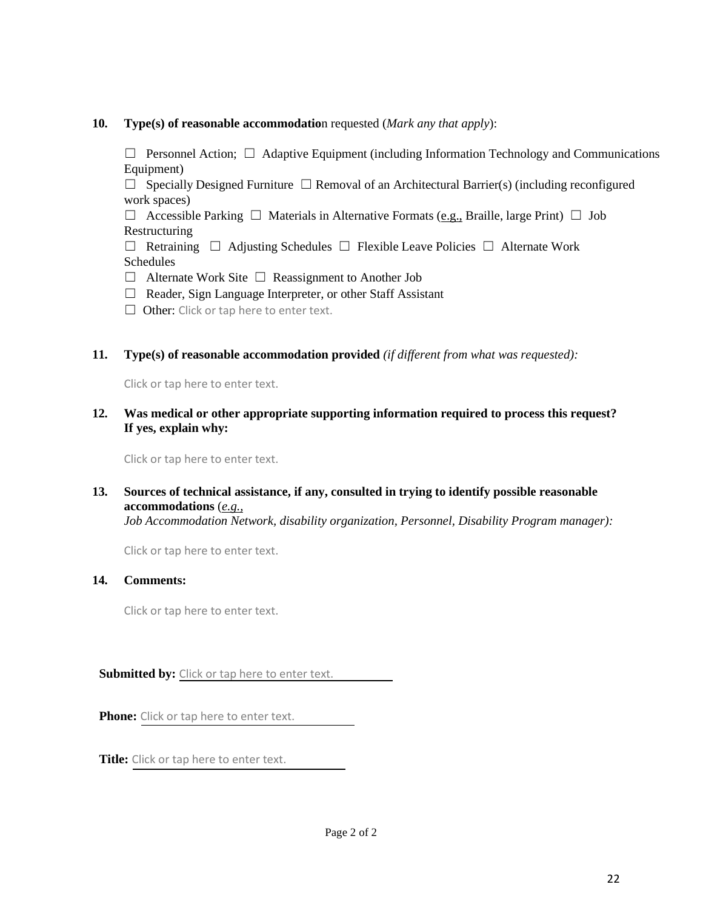#### **10. Type(s) of reasonable accommodatio**n requested (*Mark any that apply*):

 ☐ Personnel Action; ☐ Adaptive Equipment (including Information Technology and Communications Equipment)

 ☐ Specially Designed Furniture ☐ Removal of an Architectural Barrier(s) (including reconfigured work spaces)

 ☐ Accessible Parking ☐ Materials in Alternative Formats (e.g., Braille, large Print) ☐ Job Restructuring

 ☐ Retraining ☐ Adjusting Schedules ☐ Flexible Leave Policies ☐ Alternate Work Schedules

☐ Alternate Work Site ☐ Reassignment to Another Job

□ Reader, Sign Language Interpreter, or other Staff Assistant

□ Other: Click or tap here to enter text.

#### **11. Type(s) of reasonable accommodation provided** *(if different from what was requested):*

Click or tap here to enter text.

#### **12. Was medical or other appropriate supporting information required to process this request? If yes, explain why:**

Click or tap here to enter text.

#### **13. Sources of technical assistance, if any, consulted in trying to identify possible reasonable accommodations** (*e.g.,*

 *Job Accommodation Network, disability organization, Personnel, Disability Program manager):* 

Click or tap here to enter text.

#### **14. Comments:**

Click or tap here to enter text.

**Submitted by:** Click or tap here to enter text.

**Phone:** Click or tap here to enter text.

**Title:** Click or tap here to enter text.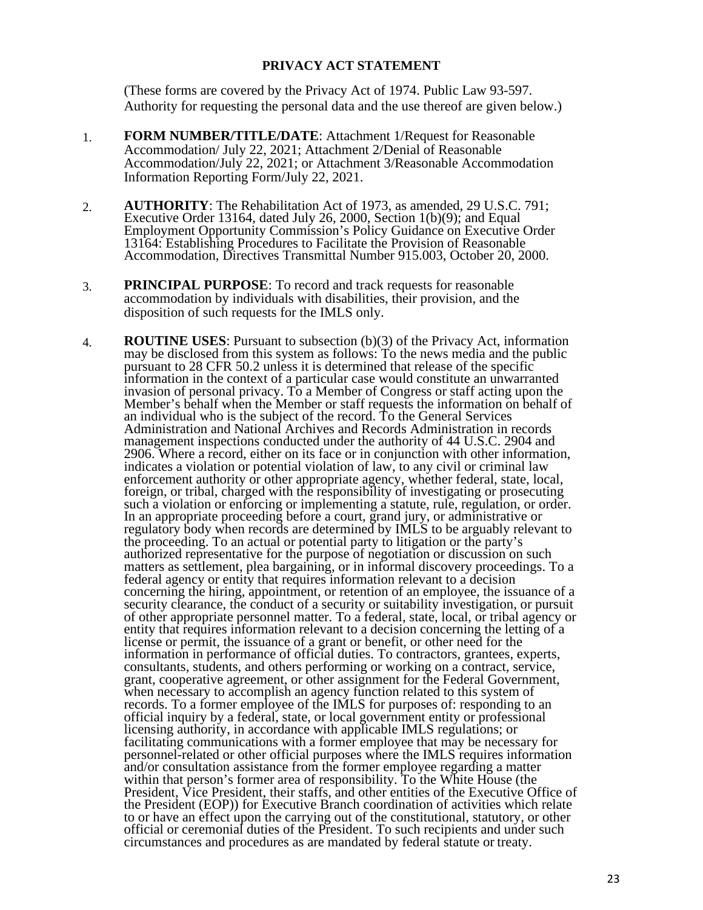#### **PRIVACY ACT STATEMENT**

 (These forms are covered by the Privacy Act of 1974. Public Law 93-597. Authority for requesting the personal data and the use thereof are given below.)

- 1. **FORM NUMBER/TITLE/DATE**: Attachment 1/Request for Reasonable Accommodation/ July 22, 2021; Attachment 2/Denial of Reasonable Accommodation/July 22, 2021; or Attachment 3/Reasonable Accommodation Information Reporting Form/July 22, 2021.
- Accommodation, Directives Transmittal Number 915.003, October 20, 2000. 2. **AUTHORITY**: The Rehabilitation Act of 1973, as amended, 29 U.S.C. 791; Executive Order 13164, dated July 26, 2000, Section 1(b)(9); and Equal Employment Opportunity Commission's Policy Guidance on Executive Order 13164: Establishing Procedures to Facilitate the Provision of Reasonable
- 3. **PRINCIPAL PURPOSE**: To record and track requests for reasonable accommodation by individuals with disabilities, their provision, and the disposition of such requests for the IMLS only.
- In an appropriate proceeding before a court, grand jury, or administrative or records. To a former employee of the IMLS for purposes of: responding to an licensing authority, in accordance with applicable IMLS regulations; or personnel-related or other official purposes where the IMLS requires information the President (EOP)) for Executive Branch coordination of activities which relate 4. **ROUTINE USES**: Pursuant to subsection (b)(3) of the Privacy Act, information may be disclosed from this system as follows: To the news media and the public pursuant to 28 CFR 50.2 unless it is determined that release of the specific information in the context of a particular case would constitute an unwarranted invasion of personal privacy. To a Member of Congress or staff acting upon the Member's behalf when the Member or staff requests the information on behalf of an individual who is the subject of the record. To the General Services Administration and National Archives and Records Administration in records management inspections conducted under the authority of 44 U.S.C. 2904 and 2906. Where a record, either on its face or in conjunction with other information, indicates a violation or potential violation of law, to any civil or criminal law enforcement authority or other appropriate agency, whether federal, state, local, foreign, or tribal, charged with the responsibility of investigating or prosecuting such a violation or enforcing or implementing a statute, rule, regulation, or order. regulatory body when records are determined by IMLS to be arguably relevant to the proceeding. To an actual or potential party to litigation or the party's authorized representative for the purpose of negotiation or discussion on such matters as settlement, plea bargaining, or in informal discovery proceedings. To a federal agency or entity that requires information relevant to a decision concerning the hiring, appointment, or retention of an employee, the issuance of a security clearance, the conduct of a security or suitability investigation, or pursuit of other appropriate personnel matter. To a federal, state, local, or tribal agency or entity that requires information relevant to a decision concerning the letting of a license or permit, the issuance of a grant or benefit, or other need for the information in performance of official duties. To contractors, grantees, experts, consultants, students, and others performing or working on a contract, service, grant, cooperative agreement, or other assignment for the Federal Government, when necessary to accomplish an agency function related to this system of official inquiry by a federal, state, or local government entity or professional facilitating communications with a former employee that may be necessary for and/or consultation assistance from the former employee regarding a matter within that person's former area of responsibility. To the White House (the President, Vice President, their staffs, and other entities of the Executive Office of to or have an effect upon the carrying out of the constitutional, statutory, or other official or ceremonial duties of the President. To such recipients and under such circumstances and procedures as are mandated by federal statute or treaty.